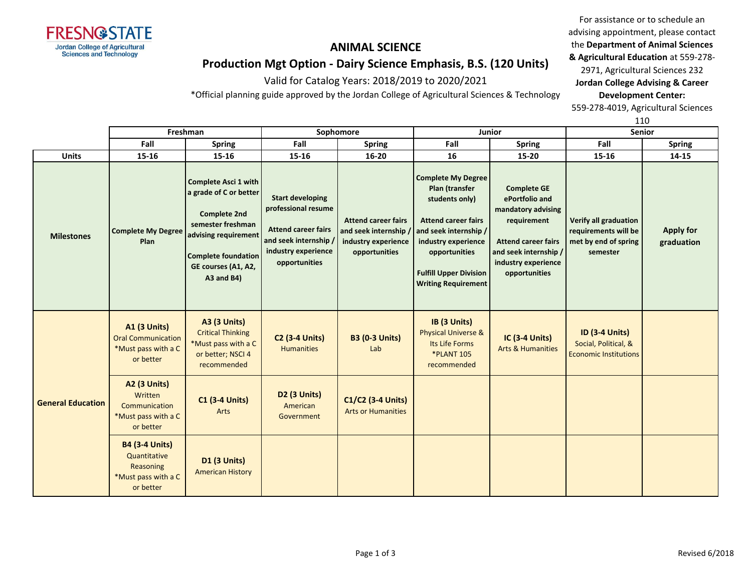

# **Production Mgt Option - Dairy Science Emphasis, B.S. (120 Units)**

Valid for Catalog Years: 2018/2019 to 2020/2021

\*Official planning guide approved by the Jordan College of Agricultural Sciences & Technology

For assistance or to schedule an advising appointment, please contact the **Department of Animal Sciences & Agricultural Education** at 559-278- 2971, Agricultural Sciences 232

**Jordan College Advising & Career Development Center:**

559-278-4019, Agricultural Sciences

110

|                          | Freshman                                                                               |                                                                                                                                                                                              | Sophomore                                                                                                                                   |                                                                                           |                                                                                                                                                                                                                             | <b>Junior</b>                                                                                                                                                            | <b>Senior</b>                                                                     |                                |
|--------------------------|----------------------------------------------------------------------------------------|----------------------------------------------------------------------------------------------------------------------------------------------------------------------------------------------|---------------------------------------------------------------------------------------------------------------------------------------------|-------------------------------------------------------------------------------------------|-----------------------------------------------------------------------------------------------------------------------------------------------------------------------------------------------------------------------------|--------------------------------------------------------------------------------------------------------------------------------------------------------------------------|-----------------------------------------------------------------------------------|--------------------------------|
|                          | Fall                                                                                   | <b>Spring</b>                                                                                                                                                                                | Fall                                                                                                                                        | <b>Spring</b>                                                                             | Fall                                                                                                                                                                                                                        | <b>Spring</b>                                                                                                                                                            | Fall                                                                              | <b>Spring</b>                  |
| <b>Units</b>             | 15-16                                                                                  | 15-16                                                                                                                                                                                        | 15-16                                                                                                                                       | $16 - 20$                                                                                 | 16                                                                                                                                                                                                                          | 15-20                                                                                                                                                                    | 15-16                                                                             | 14-15                          |
| <b>Milestones</b>        | <b>Complete My Degree</b><br>Plan                                                      | <b>Complete Asci 1 with</b><br>a grade of C or better<br><b>Complete 2nd</b><br>semester freshman<br>advising requirement<br><b>Complete foundation</b><br>GE courses (A1, A2,<br>A3 and B4) | <b>Start developing</b><br>professional resume<br><b>Attend career fairs</b><br>and seek internship<br>industry experience<br>opportunities | <b>Attend career fairs</b><br>and seek internship<br>industry experience<br>opportunities | <b>Complete My Degree</b><br>Plan (transfer<br>students only)<br><b>Attend career fairs</b><br>and seek internship /<br>industry experience<br>opportunities<br><b>Fulfill Upper Division</b><br><b>Writing Requirement</b> | <b>Complete GE</b><br>ePortfolio and<br>mandatory advising<br>requirement<br><b>Attend career fairs</b><br>and seek internship /<br>industry experience<br>opportunities | Verify all graduation<br>requirements will be<br>met by end of spring<br>semester | <b>Apply for</b><br>graduation |
| <b>General Education</b> | <b>A1 (3 Units)</b><br><b>Oral Communication</b><br>*Must pass with a C<br>or better   | <b>A3 (3 Units)</b><br><b>Critical Thinking</b><br>*Must pass with a C<br>or better; NSCI 4<br>recommended                                                                                   | <b>C2 (3-4 Units)</b><br><b>Humanities</b>                                                                                                  | <b>B3 (0-3 Units)</b><br>Lab                                                              | IB (3 Units)<br><b>Physical Universe &amp;</b><br>Its Life Forms<br><b>*PLANT 105</b><br>recommended                                                                                                                        | <b>IC (3-4 Units)</b><br><b>Arts &amp; Humanities</b>                                                                                                                    | <b>ID (3-4 Units)</b><br>Social, Political, &<br><b>Economic Institutions</b>     |                                |
|                          | <b>A2 (3 Units)</b><br>Written<br>Communication<br>*Must pass with a C<br>or better    | <b>C1 (3-4 Units)</b><br>Arts                                                                                                                                                                | D <sub>2</sub> (3 Units)<br>American<br>Government                                                                                          | C1/C2 (3-4 Units)<br><b>Arts or Humanities</b>                                            |                                                                                                                                                                                                                             |                                                                                                                                                                          |                                                                                   |                                |
|                          | <b>B4 (3-4 Units)</b><br>Quantitative<br>Reasoning<br>*Must pass with a C<br>or better | D1 (3 Units)<br><b>American History</b>                                                                                                                                                      |                                                                                                                                             |                                                                                           |                                                                                                                                                                                                                             |                                                                                                                                                                          |                                                                                   |                                |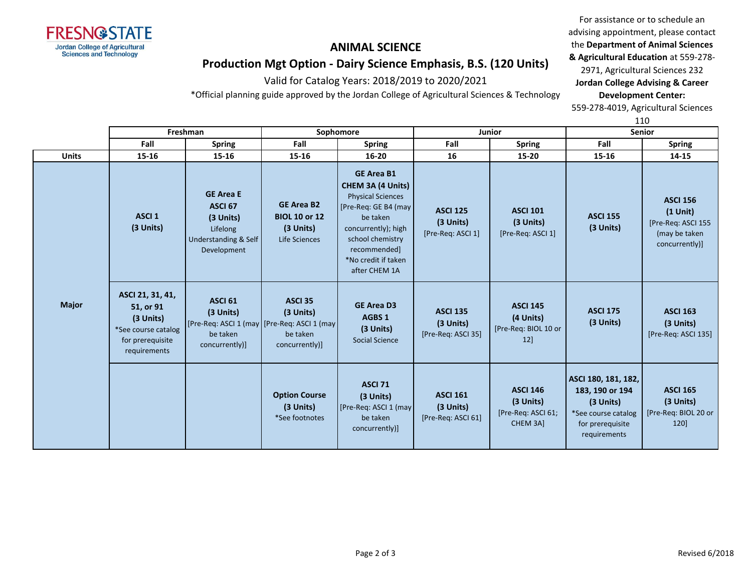

# **Production Mgt Option - Dairy Science Emphasis, B.S. (120 Units)**

Valid for Catalog Years: 2018/2019 to 2020/2021

\*Official planning guide approved by the Jordan College of Agricultural Sciences & Technology

For assistance or to schedule an advising appointment, please contact the **Department of Animal Sciences & Agricultural Education** at 559-278- 2971, Agricultural Sciences 232 **Jordan College Advising & Career Development Center:**

559-278-4019, Agricultural Sciences

110

|              | Freshman                                                                                              |                                                                                                              | Sophomore                                                               |                                                                                                                                                                                                                  | Junior                                             |                                                                | <b>Senior</b>                                                                                                  |                                                                                        |
|--------------|-------------------------------------------------------------------------------------------------------|--------------------------------------------------------------------------------------------------------------|-------------------------------------------------------------------------|------------------------------------------------------------------------------------------------------------------------------------------------------------------------------------------------------------------|----------------------------------------------------|----------------------------------------------------------------|----------------------------------------------------------------------------------------------------------------|----------------------------------------------------------------------------------------|
|              | Fall                                                                                                  | <b>Spring</b>                                                                                                | Fall                                                                    | <b>Spring</b>                                                                                                                                                                                                    | Fall                                               | <b>Spring</b>                                                  | Fall                                                                                                           | <b>Spring</b>                                                                          |
| <b>Units</b> | 15-16                                                                                                 | $15 - 16$                                                                                                    | 15-16                                                                   | 16-20                                                                                                                                                                                                            | 16                                                 | $15 - 20$                                                      | $15 - 16$                                                                                                      | 14-15                                                                                  |
|              | <b>ASCI1</b><br>(3 Units)                                                                             | <b>GE Area E</b><br><b>ASCI 67</b><br>(3 Units)<br>Lifelong<br>Understanding & Self<br>Development           | <b>GE Area B2</b><br><b>BIOL 10 or 12</b><br>(3 Units)<br>Life Sciences | <b>GE Area B1</b><br><b>CHEM 3A (4 Units)</b><br><b>Physical Sciences</b><br>[Pre-Req: GE B4 (may<br>be taken<br>concurrently); high<br>school chemistry<br>recommended]<br>*No credit if taken<br>after CHEM 1A | <b>ASCI 125</b><br>(3 Units)<br>[Pre-Req: ASCI 1]  | <b>ASCI 101</b><br>(3 Units)<br>[Pre-Req: ASCI 1]              | <b>ASCI 155</b><br>(3 Units)                                                                                   | <b>ASCI 156</b><br>$(1$ Unit)<br>[Pre-Req: ASCI 155<br>(may be taken<br>concurrently)] |
| <b>Major</b> | ASCI 21, 31, 41,<br>51, or 91<br>(3 Units)<br>*See course catalog<br>for prerequisite<br>requirements | ASCI <sub>61</sub><br>(3 Units)<br>[Pre-Req: ASCI 1 (may [Pre-Req: ASCI 1 (may<br>be taken<br>concurrently)] | <b>ASCI 35</b><br>(3 Units)<br>be taken<br>concurrently)]               | <b>GE Area D3</b><br><b>AGBS 1</b><br>(3 Units)<br><b>Social Science</b>                                                                                                                                         | <b>ASCI 135</b><br>(3 Units)<br>[Pre-Req: ASCI 35] | <b>ASCI 145</b><br>(4 Units)<br>[Pre-Req: BIOL 10 or<br>12]    | <b>ASCI 175</b><br>(3 Units)                                                                                   | <b>ASCI 163</b><br>(3 Units)<br>[Pre-Req: ASCI 135]                                    |
|              |                                                                                                       |                                                                                                              | <b>Option Course</b><br>(3 Units)<br>*See footnotes                     | <b>ASCI 71</b><br>(3 Units)<br>[Pre-Req: ASCI 1 (may<br>be taken<br>concurrently)]                                                                                                                               | <b>ASCI 161</b><br>(3 Units)<br>[Pre-Req: ASCI 61] | <b>ASCI 146</b><br>(3 Units)<br>[Pre-Req: ASCI 61;<br>CHEM 3A] | ASCI 180, 181, 182,<br>183, 190 or 194<br>(3 Units)<br>*See course catalog<br>for prerequisite<br>requirements | <b>ASCI 165</b><br>(3 Units)<br>[Pre-Req: BIOL 20 or<br>120                            |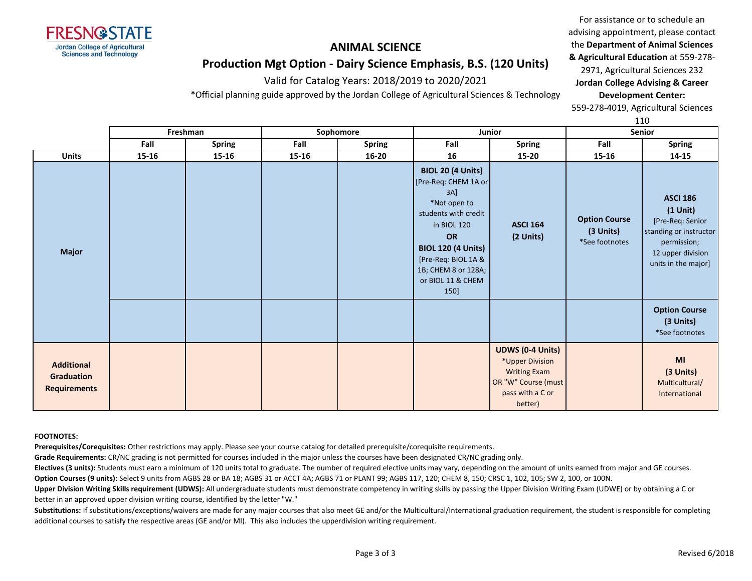

## **Production Mgt Option - Dairy Science Emphasis, B.S. (120 Units)**

Valid for Catalog Years: 2018/2019 to 2020/2021

\*Official planning guide approved by the Jordan College of Agricultural Sciences & Technology

For assistance or to schedule an advising appointment, please contact the **Department of Animal Sciences & Agricultural Education** at 559-278- 2971, Agricultural Sciences 232 **Jordan College Advising & Career Development Center:**

559-278-4019, Agricultural Sciences

110

|                                                               | Freshman |        | Sophomore |               | <b>Junior</b>                                                                                                                                                                                                                          |                                                                                                                         | Senior                                              |                                                                                                                                        |
|---------------------------------------------------------------|----------|--------|-----------|---------------|----------------------------------------------------------------------------------------------------------------------------------------------------------------------------------------------------------------------------------------|-------------------------------------------------------------------------------------------------------------------------|-----------------------------------------------------|----------------------------------------------------------------------------------------------------------------------------------------|
|                                                               | Fall     | Spring | Fall      | <b>Spring</b> | Fall                                                                                                                                                                                                                                   | Spring                                                                                                                  | Fall                                                | <b>Spring</b>                                                                                                                          |
| <b>Units</b>                                                  | 15-16    | 15-16  | 15-16     | $16 - 20$     | 16                                                                                                                                                                                                                                     | 15-20                                                                                                                   | 15-16                                               | 14-15                                                                                                                                  |
| <b>Major</b>                                                  |          |        |           |               | <b>BIOL 20 (4 Units)</b><br>[Pre-Req: CHEM 1A or<br>$3A$ ]<br>*Not open to<br>students with credit<br>in BIOL 120<br><b>OR</b><br><b>BIOL 120 (4 Units)</b><br>[Pre-Req: BIOL 1A &<br>1B; CHEM 8 or 128A;<br>or BIOL 11 & CHEM<br>150] | <b>ASCI 164</b><br>(2 Units)                                                                                            | <b>Option Course</b><br>(3 Units)<br>*See footnotes | <b>ASCI 186</b><br>$(1$ Unit)<br>[Pre-Req: Senior<br>standing or instructor<br>permission;<br>12 upper division<br>units in the major] |
|                                                               |          |        |           |               |                                                                                                                                                                                                                                        |                                                                                                                         |                                                     | <b>Option Course</b><br>(3 Units)<br>*See footnotes                                                                                    |
| <b>Additional</b><br><b>Graduation</b><br><b>Requirements</b> |          |        |           |               |                                                                                                                                                                                                                                        | <b>UDWS (0-4 Units)</b><br>*Upper Division<br><b>Writing Exam</b><br>OR "W" Course (must<br>pass with a C or<br>better) |                                                     | MI<br>(3 Units)<br>Multicultural/<br>International                                                                                     |

#### **FOOTNOTES:**

**Prerequisites/Corequisites:** Other restrictions may apply. Please see your course catalog for detailed prerequisite/corequisite requirements.

**Grade Requirements:** CR/NC grading is not permitted for courses included in the major unless the courses have been designated CR/NC grading only.

**Electives (3 units):** Students must earn a minimum of 120 units total to graduate. The number of required elective units may vary, depending on the amount of units earned from major and GE courses.

**Option Courses (9 units):** Select 9 units from AGBS 28 or BA 18; AGBS 31 or ACCT 4A; AGBS 71 or PLANT 99; AGBS 117, 120; CHEM 8, 150; CRSC 1, 102, 105; SW 2, 100, or 100N.

**Upper Division Writing Skills requirement (UDWS):** All undergraduate students must demonstrate competency in writing skills by passing the Upper Division Writing Exam (UDWE) or by obtaining a C or better in an approved upper division writing course, identified by the letter "W."

Substitutions: If substitutions/exceptions/waivers are made for any major courses that also meet GE and/or the Multicultural/International graduation requirement, the student is responsible for completing additional courses to satisfy the respective areas (GE and/or MI). This also includes the upperdivision writing requirement.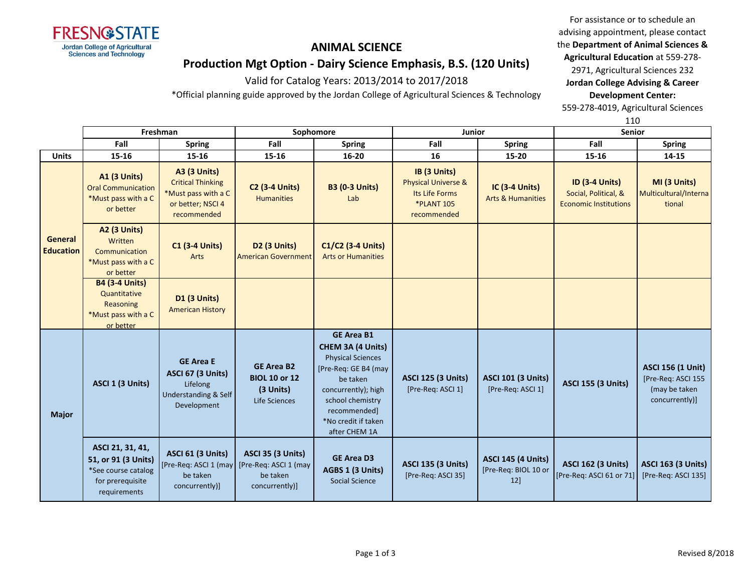

# **ANIMAL SCIENCE Production Mgt Option - Dairy Science Emphasis, B.S. (120 Units)**

Valid for Catalog Years: 2013/2014 to 2017/2018

\*Official planning guide approved by the Jordan College of Agricultural Sciences & Technology

For assistance or to schedule an advising appointment, please contact the **Department of Animal Sciences & Agricultural Education** at 559-278-

2971, Agricultural Sciences 232 **Jordan College Advising & Career Development Center:**

559-278-4019, Agricultural Sciences

|                                    |                                                                                                    |                                                                                                            |                                                                                 |                                                                                                                                                                                                           | 110                                                                                                  |                                                          |                                                                               |                                                                                   |
|------------------------------------|----------------------------------------------------------------------------------------------------|------------------------------------------------------------------------------------------------------------|---------------------------------------------------------------------------------|-----------------------------------------------------------------------------------------------------------------------------------------------------------------------------------------------------------|------------------------------------------------------------------------------------------------------|----------------------------------------------------------|-------------------------------------------------------------------------------|-----------------------------------------------------------------------------------|
|                                    |                                                                                                    | Freshman                                                                                                   | Sophomore                                                                       |                                                                                                                                                                                                           | Junior                                                                                               |                                                          | Senior                                                                        |                                                                                   |
|                                    | Fall                                                                                               | <b>Spring</b>                                                                                              | Fall                                                                            | <b>Spring</b>                                                                                                                                                                                             | Fall                                                                                                 | <b>Spring</b>                                            | Fall                                                                          | <b>Spring</b>                                                                     |
| <b>Units</b>                       | 15-16                                                                                              | 15-16                                                                                                      | 15-16                                                                           | 16-20                                                                                                                                                                                                     | 16                                                                                                   | 15-20                                                    | 15-16                                                                         | 14-15                                                                             |
| <b>General</b><br><b>Education</b> | <b>A1 (3 Units)</b><br><b>Oral Communication</b><br>*Must pass with a C<br>or better               | <b>A3 (3 Units)</b><br><b>Critical Thinking</b><br>*Must pass with a C<br>or better; NSCI 4<br>recommended | <b>C2 (3-4 Units)</b><br><b>Humanities</b>                                      | <b>B3 (0-3 Units)</b><br>Lab                                                                                                                                                                              | IB (3 Units)<br><b>Physical Universe &amp;</b><br>Its Life Forms<br><b>*PLANT 105</b><br>recommended | IC (3-4 Units)<br><b>Arts &amp; Humanities</b>           | <b>ID (3-4 Units)</b><br>Social, Political, &<br><b>Economic Institutions</b> | MI (3 Units)<br>Multicultural/Interna<br>tional                                   |
|                                    | <b>A2 (3 Units)</b><br>Written<br>Communication<br>*Must pass with a C<br>or better                | <b>C1 (3-4 Units)</b><br>Arts                                                                              | <b>D2 (3 Units)</b><br><b>American Government</b>                               | C1/C2 (3-4 Units)<br><b>Arts or Humanities</b>                                                                                                                                                            |                                                                                                      |                                                          |                                                                               |                                                                                   |
|                                    | <b>B4 (3-4 Units)</b><br>Quantitative<br>Reasoning<br>*Must pass with a C<br>or better             | <b>D1 (3 Units)</b><br><b>American History</b>                                                             |                                                                                 |                                                                                                                                                                                                           |                                                                                                      |                                                          |                                                                               |                                                                                   |
| <b>Major</b>                       | ASCI 1 (3 Units)                                                                                   | <b>GE Area E</b><br><b>ASCI 67 (3 Units)</b><br>Lifelong<br>Understanding & Self<br>Development            | <b>GE Area B2</b><br><b>BIOL 10 or 12</b><br>(3 Units)<br>Life Sciences         | <b>GE Area B1</b><br>CHEM 3A (4 Units)<br><b>Physical Sciences</b><br>[Pre-Req: GE B4 (may<br>be taken<br>concurrently); high<br>school chemistry<br>recommended]<br>*No credit if taken<br>after CHEM 1A | <b>ASCI 125 (3 Units)</b><br>[Pre-Req: ASCI 1]                                                       | <b>ASCI 101 (3 Units)</b><br>[Pre-Req: ASCI 1]           | <b>ASCI 155 (3 Units)</b>                                                     | <b>ASCI 156 (1 Unit)</b><br>[Pre-Req: ASCI 155<br>(may be taken<br>concurrently)] |
|                                    | ASCI 21, 31, 41,<br>51, or 91 (3 Units)<br>*See course catalog<br>for prerequisite<br>requirements | <b>ASCI 61 (3 Units)</b><br>[Pre-Req: ASCI 1 (may<br>be taken<br>concurrently)]                            | <b>ASCI 35 (3 Units)</b><br>[Pre-Req: ASCI 1 (may<br>be taken<br>concurrently)] | <b>GE Area D3</b><br>AGBS 1 (3 Units)<br><b>Social Science</b>                                                                                                                                            | <b>ASCI 135 (3 Units)</b><br>[Pre-Req: ASCI 35]                                                      | <b>ASCI 145 (4 Units)</b><br>[Pre-Req: BIOL 10 or<br>12] | <b>ASCI 162 (3 Units)</b><br>[Pre-Req: ASCI 61 or 71]                         | <b>ASCI 163 (3 Units)</b><br>[Pre-Req: ASCI 135]                                  |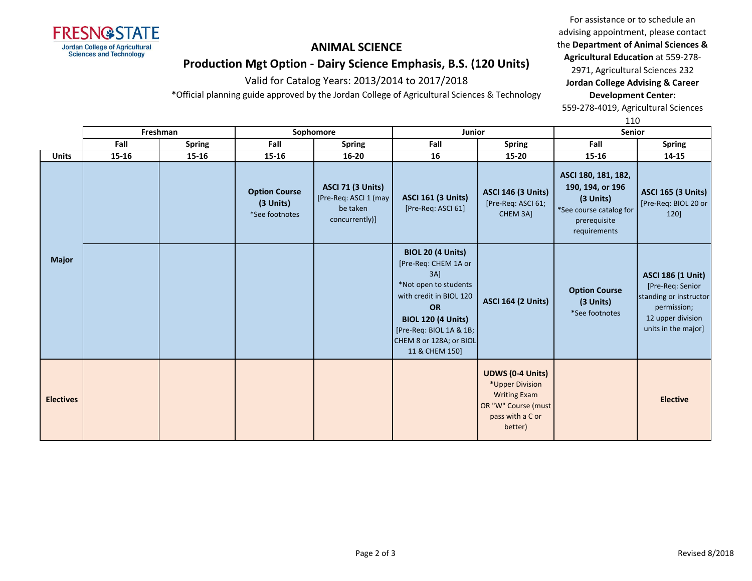

For assistance or to schedule an advising appointment, please contact the **Department of Animal Sciences & Agricultural Education** at 559-278-

**Production Mgt Option - Dairy Science Emphasis, B.S. (120 Units)**

Valid for Catalog Years: 2013/2014 to 2017/2018

\*Official planning guide approved by the Jordan College of Agricultural Sciences & Technology

2971, Agricultural Sciences 232 **Jordan College Advising & Career Development Center:**

559-278-4019, Agricultural Sciences

110

|                  | Freshman |               | Sophomore                                           |                                                                                 | Junior                                                                                                                                                                                                                        |                                                                                                                         | <b>Senior</b>                                                                                                   |                                                                                                                                   |
|------------------|----------|---------------|-----------------------------------------------------|---------------------------------------------------------------------------------|-------------------------------------------------------------------------------------------------------------------------------------------------------------------------------------------------------------------------------|-------------------------------------------------------------------------------------------------------------------------|-----------------------------------------------------------------------------------------------------------------|-----------------------------------------------------------------------------------------------------------------------------------|
|                  | Fall     | <b>Spring</b> | Fall                                                | <b>Spring</b>                                                                   | Fall                                                                                                                                                                                                                          | <b>Spring</b>                                                                                                           | Fall                                                                                                            | <b>Spring</b>                                                                                                                     |
| <b>Units</b>     | 15-16    | 15-16         | $15 - 16$                                           | $16 - 20$                                                                       | 16                                                                                                                                                                                                                            | 15-20                                                                                                                   | $15 - 16$                                                                                                       | 14-15                                                                                                                             |
|                  |          |               | <b>Option Course</b><br>(3 Units)<br>*See footnotes | <b>ASCI 71 (3 Units)</b><br>[Pre-Req: ASCI 1 (may<br>be taken<br>concurrently)] | <b>ASCI 161 (3 Units)</b><br>[Pre-Req: ASCI 61]                                                                                                                                                                               | <b>ASCI 146 (3 Units)</b><br>[Pre-Req: ASCI 61;<br>CHEM 3A]                                                             | ASCI 180, 181, 182,<br>190, 194, or 196<br>(3 Units)<br>*See course catalog for<br>prerequisite<br>requirements | <b>ASCI 165 (3 Units)</b><br>[Pre-Req: BIOL 20 or<br>120]                                                                         |
| <b>Major</b>     |          |               |                                                     |                                                                                 | <b>BIOL 20 (4 Units)</b><br>[Pre-Req: CHEM 1A or<br>3AI<br>*Not open to students<br>with credit in BIOL 120<br><b>OR</b><br><b>BIOL 120 (4 Units)</b><br>[Pre-Req: BIOL 1A & 1B;<br>CHEM 8 or 128A; or BIOL<br>11 & CHEM 150] | <b>ASCI 164 (2 Units)</b>                                                                                               | <b>Option Course</b><br>(3 Units)<br>*See footnotes                                                             | <b>ASCI 186 (1 Unit)</b><br>[Pre-Req: Senior<br>standing or instructor<br>permission;<br>12 upper division<br>units in the major] |
| <b>Electives</b> |          |               |                                                     |                                                                                 |                                                                                                                                                                                                                               | <b>UDWS (0-4 Units)</b><br>*Upper Division<br><b>Writing Exam</b><br>OR "W" Course (must<br>pass with a C or<br>better) |                                                                                                                 | <b>Elective</b>                                                                                                                   |